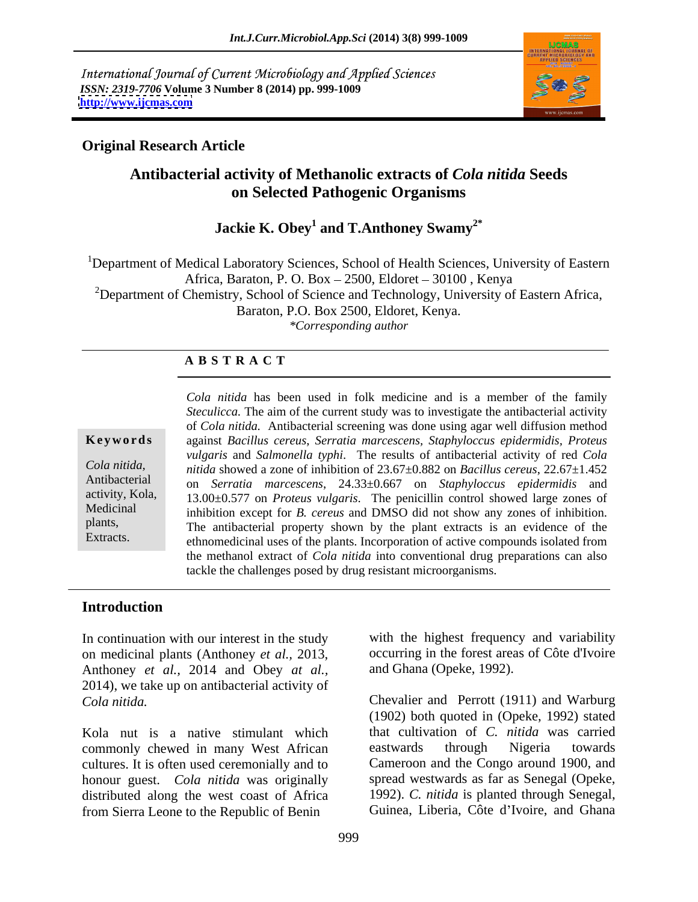International Journal of Current Microbiology and Applied Sciences *ISSN: 2319-7706* **Volume 3 Number 8 (2014) pp. 999-1009 <http://www.ijcmas.com>**



### **Original Research Article**

## **Antibacterial activity of Methanolic extracts of** *Cola nitida* **Seeds on Selected Pathogenic Organisms**

# **Jackie K. Obey1 and T.Anthoney Swamy2\***

<sup>1</sup>Department of Medical Laboratory Sciences, School of Health Sciences, University of Eastern Africa, Baraton, P. O. Box - 2500, Eldoret - 30100, Kenya <sup>2</sup>Department of Chemistry, School of Science and Technology, University of Eastern Africa, Baraton, P.O. Box 2500, Eldoret, Kenya. *\*Corresponding author* 

### **A B S T R A C T**

**Ke ywo rds** against *Bacillus cereus*, *Serratia marcescens, Staphyloccus epidermidis, Proteus Cola nitida, nitida* showed a zone of inhibition of 23.67±0.882 on *Bacillus cereus*, 22.67±1.452 Antibacterial on *Serratia marcescens*, 24.33±0.667 on *Staphyloccus epidermidis* and activity, Kola, 13.00±0.577 on *Proteus vulgaris*. The penicillin control showed large zones of Medicinal inhibition except for *B. cereus* and DMSO did not show any zones of inhibition. plants, The antibacterial property shown by the plant extracts is an evidence of the Extracts. ethnomedicinal uses of the plants. Incorporation of active compounds isolated from *Cola nitida* has been used in folk medicine and is a member of the family *Steculicca.* The aim of the current study was to investigate the antibacterial activity of *Cola nitida.* Antibacterial screening was done using agar well diffusion method *vulgaris* and *Salmonella typhi*. The results of antibacterial activity of red *Cola*  the methanol extract of *Cola nitida* into conventional drug preparations can also tackle the challenges posed by drug resistant microorganisms.

### **Introduction**

In continuation with our interest in the study on medicinal plants (Anthoney *et al.,* 2013, Anthoney *et al.,* 2014 and Obey *at al.,* 2014), we take up on antibacterial activity of

Kola nut is a native stimulant which commonly chewed in many West African eastwards through Nigeria towards cultures. It is often used ceremonially and to honour guest. *Cola nitida* was originally distributed along the west coast of Africa from Sierra Leone to the Republic of Benin

with the highest frequency and variability occurring in the forest areas of Côte d'Ivoire and Ghana (Opeke, 1992).

*Cola nitida.* Chevalier and Perrott (1911) and Warburg (1902) both quoted in (Opeke, 1992) stated that cultivation of *C. nitida* was carried eastwards through Nigeria towards Cameroon and the Congo around 1900, and spread westwards as far as Senegal (Opeke, 1992). *C. nitida* is planted through Senegal, Guinea, Liberia, Côte d'Ivoire, and Ghana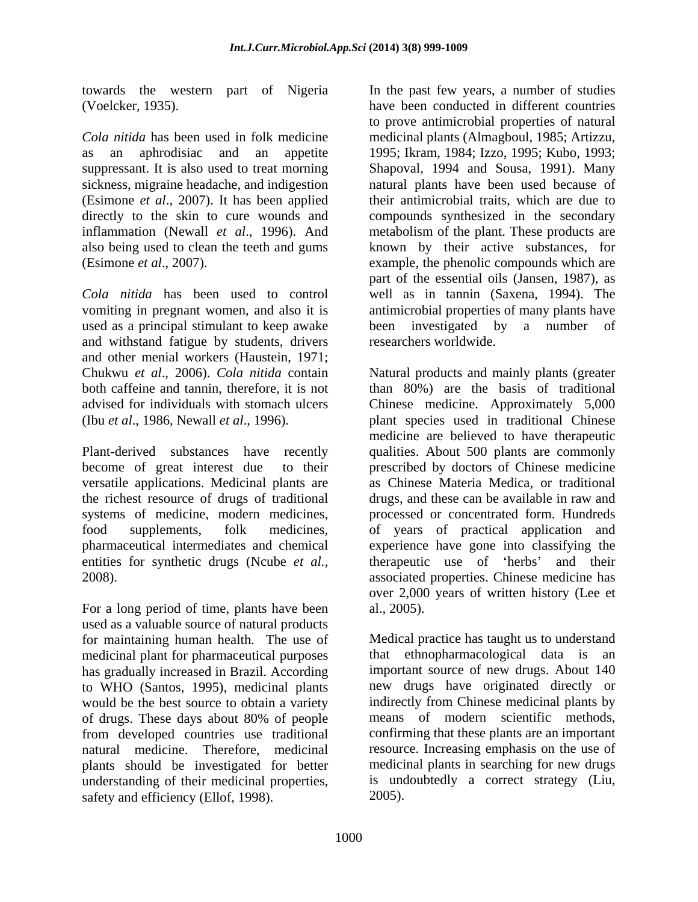*Cola nitida* has been used in folk medicine medicinal plants (Almagboul, 1985; Artizzu, as an aphrodisiac and an appetite 1995; Ikram, 1984; Izzo, 1995; Kubo, 1993; suppressant. It is also used to treat morning Shapoval, 1994 and Sousa, 1991). Many sickness, migraine headache, and indigestion natural plants have been used because of (Esimone *et al*., 2007). It has been applied directly to the skin to cure wounds and compounds synthesized in the secondary inflammation (Newall *et al*., 1996). And metabolism of the plant. These products are also being used to clean the teeth and gums (Esimone *et al*., 2007). example, the phenolic compounds which are

used as a principal stimulant to keep awake been investigated by a number of and withstand fatigue by students, drivers and other menial workers (Haustein, 1971;

versatile applications. Medicinal plants are entities for synthetic drugs (Ncube *et al.,*

For a long period of time, plants have been al., 2005). used as a valuable source of natural products medicinal plant for pharmaceutical purposes that ethnopharmacological data is an has gradually increased in Brazil. According to WHO (Santos, 1995), medicinal plants would be the best source to obtain a variety of drugs. These days about 80% of people understanding of their medicinal properties, safety and efficiency (Ellof, 1998).

towards the western part of Nigeria In the past few years, a number of studies (Voelcker, 1935). have been conducted in different countries *Cola nitida* has been used to control well as in tannin (Saxena, 1994). The vomiting in pregnant women, and also it is antimicrobial properties of many plants have to prove antimicrobial properties of natural their antimicrobial traits, which are due to known by their active substances, for part of the essential oils (Jansen, 1987), as been investigated by a number researchers worldwide.

Chukwu *et al*., 2006). *Cola nitida* contain Natural products and mainly plants (greater both caffeine and tannin, therefore, it is not than 80%) are the basis of traditional advised for individuals with stomach ulcers Chinese medicine. Approximately 5,000 (Ibu *et al*., 1986, Newall *et al*., 1996). plant species used in traditional Chinese Plant-derived substances have recently qualities. About 500 plants are commonly become of great interest due to their prescribed by doctors of Chinese medicine the richest resource of drugs of traditional drugs, and these can be available in raw and systems of medicine, modern medicines, processed or concentrated form. Hundreds food supplements, folk medicines, of years of practical application and pharmaceutical intermediates and chemical experience have gone into classifying the 2008). associated properties. Chinese medicine has medicine are believed to have therapeutic as Chinese Materia Medica, or traditional therapeutic use of 'herbs' and their over 2,000 years of written history (Lee et al., 2005).

for maintaining human health. The use of Medical practice has taught us to understand from developed countries use traditional confirming that these plants are an important natural medicine. Therefore, medicinal resource. Increasing emphasis on the use of plants should be investigated for better medicinal plants in searching for new drugs that ethnopharmacological data is important source of new drugs. About 140 new drugs have originated directly or indirectly from Chinese medicinal plants by means of modern scientific methods, is undoubtedly a correct strategy (Liu, 2005).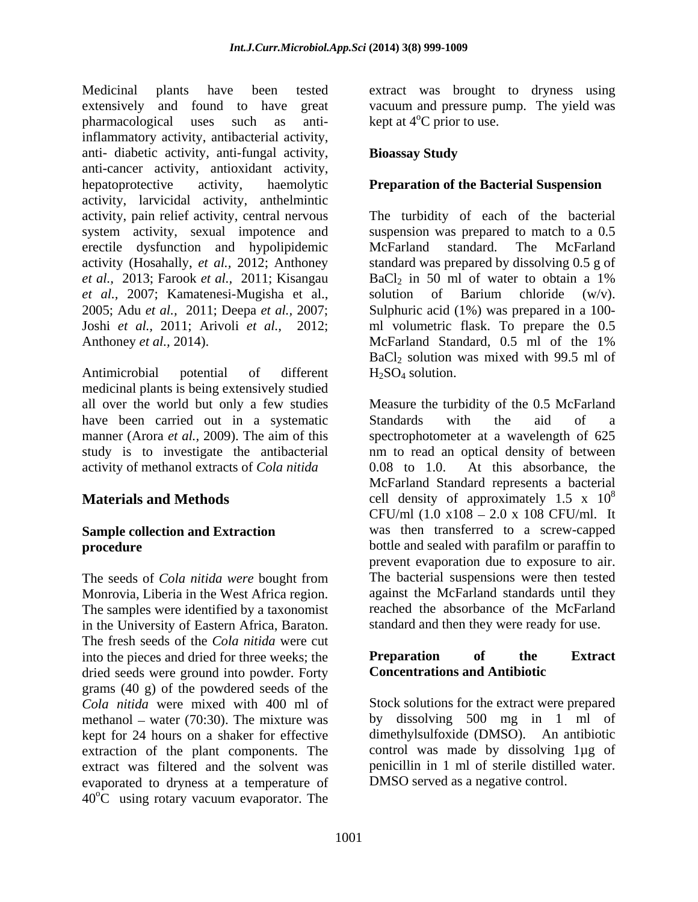Medicinal plants have been tested extract was brought to dryness using extensively and found to have great vacuum and pressure pump. The yield was pharmacological uses such as anti-<br> $\text{kept at } 4^{\circ}\text{C prior to use.}$ inflammatory activity, antibacterial activity, anti- diabetic activity, anti-fungal activity, anti-cancer activity, antioxidant activity, hepatoprotective activity, haemolytic **Preparation of the Bacterial Suspension** activity, larvicidal activity, anthelmintic activity, pain relief activity, central nervous The turbidity of each of the bacterial system activity, sexual impotence and erectile dysfunction and hypolipidemic activity (Hosahally, *et al.,* 2012; Anthoney standard was prepared by dissolving 0.5 g of *et al.,* 2013; Farook *et al.,* 2011; Kisangau *et al.,* 2007; Kamatenesi-Mugisha et al., 2005; Adu *et al.,*2011; Deepa *et al.,* 2007; Joshi *et al.,* 2011; Arivoli *et al.,* 2012; ml volumetric flask. To prepare the 0.5 Anthoney *et al.*, 2014). McFarland Standard, 0.5 ml of the 1%

medicinal plants is being extensively studied have been carried out in a systematic Standards with the aid of a activity of methanol extracts of *Cola nitida*

The seeds of *Cola nitida were* bought from Monrovia, Liberia in the West Africa region. The samples were identified by a taxonomist in the University of Eastern Africa, Baraton. The fresh seeds of the *Cola nitida* were cut into the pieces and dried for three weeks; the **Preparation** of the **Extract** dried seeds were ground into powder. Forty grams (40 g) of the powdered seeds of the *Cola nitida* were mixed with 400 ml of methanol – water  $(70:30)$ . The mixture was kept for 24 hours on a shaker for effective extraction of the plant components. The evaporated to dryness at a temperature of  $40^{\circ}$ C using rotary vacuum evaporator. The

kept at  $4^{\circ}$ C prior to use.

### **Bioassay Study**

Antimicrobial potential of different  $H_2SO_4$  solution. suspension was prepared to match to a 0.5 McFarland standard. The McFarland  $BaCl<sub>2</sub>$  in 50 ml of water to obtain a 1% solution of Barium chloride (w/v). Sulphuric acid (1%) was prepared in a 100- McFarland Standard, 0.5 ml of the 1% BaCl2 solution was mixed with 99.5 ml of  $H_2SO_4$  solution.

all over the world but only a few studies Measure the turbidity of the 0.5 McFarland manner (Arora *et al.*, 2009). The aim of this spectrophotometer at a wavelength of 625 study is to investigate the antibacterial nm to read an optical density of between **Materials and Methods** cell density of approximately 1.5 x 10<sup>8</sup> **Sample collection and Extraction**  was then transferred to a screw-capped **procedure bottle** and sealed with parafilm or paraffin to Standards with the aid of a At this absorbance, the McFarland Standard represents a bacterial 8 CFU/ml  $(1.0 x108 - 2.0 x 108$  CFU/ml. It prevent evaporation due to exposure to air. The bacterial suspensions were then tested against the McFarland standards until they reached the absorbance of the McFarland standard and then they were ready for use.

### **Preparation of the Extract Concentrations and Antibiotic**

extract was filtered and the solvent was penicillin in 1 ml of sterile distilled water. Stock solutions for the extract were prepared by dissolving 500 mg in 1 ml of dimethylsulfoxide (DMSO). An antibiotic control was made by dissolving 1µg of DMSO served as a negative control.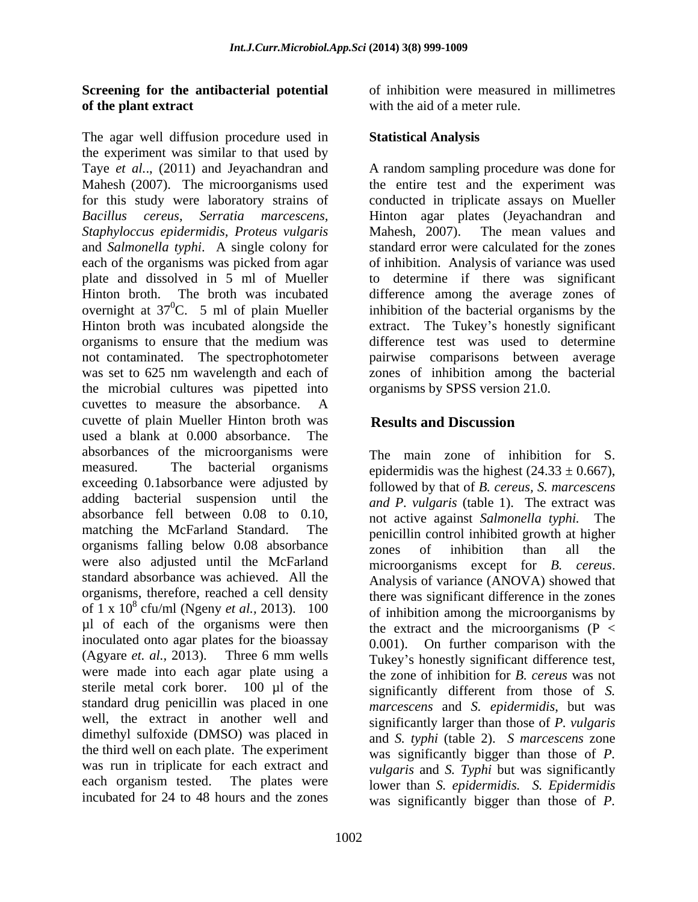### **Screening for the antibacterial potential of the plant extract** with the aid of a meter rule.

The agar well diffusion procedure used in the experiment was similar to that used by Taye *et al.*., (2011) and Jeyachandran and A random sampling procedure was done for Mahesh (2007). The microorganisms used the entire test and the experiment was for this study were laboratory strains of conducted in triplicate assays on Mueller *Bacillus cereus*, *Serratia marcescens,* Hinton agar plates (Jeyachandran and *Staphyloccus epidermidis, Proteus vulgaris* and *Salmonella typhi*. A single colony for each of the organisms was picked from agar of inhibition. Analysis of variance was used plate and dissolved in 5 ml of Mueller to determine if there was significant Hinton broth. The broth was incubated difference among the average zones of overnight at  $37^0C$ . 5 ml of plain Mueller inhibition of the bacterial organisms by the Hinton broth was incubated alongside the extract. The Tukey's honestly significant organisms to ensure that the medium was not contaminated. The spectrophotometer was set to 625 nm wavelength and each of the microbial cultures was pipetted into cuvettes to measure the absorbance. A cuvette of plain Mueller Hinton broth was used a blank at 0.000 absorbance. The absorbances of the microorganisms were measured. The bacterial organisms epidermidis was the highest  $(24.33 \pm 0.667)$ , exceeding 0.1absorbance were adjusted by adding bacterial suspension until the absorbance fell between 0.08 to 0.10, and active against Salmonella typhi. The matching the McFarland Standard. The penicillin control inhibited growth at higher organisms falling below 0.08 absorbance<br>zones of inhibition than all the were also adjusted until the McFarland<br>standard absorbance was achieved. All the analysis of variance (ANOVA) showed that organisms, therefore, reached a cell density of  $1 \times 10^8$  cfu/ml (Ngeny *et al.*, 2013).  $100$  of inhibition among the microorganisms by µl of each of the organisms were then inoculated onto agar plates for the bioassay 0.001). On further comparison with the (Agyare *et. al.,* 2013). Three 6 mm wells were made into each agar plate using a sterile metal cork borer. 100 µl of the standard drug penicillin was placed in one well, the extract in another well and significantly larger than those of *P. vulgaris* dimethyl sulfoxide (DMSO) was placed in the third well on each plate. The experiment was run in triplicate for each extract and each organism tested. The plates were lower than *S. epidermidis. S. Epidermidis*

of inhibition were measured in millimetres

## **Statistical Analysis**

Mahesh, 2007). The mean values and standard error were calculated for the zones difference test was used to determine pairwise comparisons between average zones of inhibition among the bacterial organisms by SPSS version 21.0.

# **Results and Discussion**

Analysis of variance (ANOVA) showed that cfu/ml (Ngeny *et al.,* 2013). 100 of inhibition among the microorganisms by incubated for 24 to 48 hours and the zones was significantly bigger than those of *P.* The main zone of inhibition for S. followed by that of *B. cereus, S. marcescens and P. vulgaris* (table 1). The extract was not active against Salmonella typhi. zones of inhibition than all the microorganisms except for *B. cereus*. Analysis of variance (ANOVA) showed that there was significant difference in the zones the extract and the microorganisms  $(P \leq$ Tukey's honestly significant difference test, the zone of inhibition for *B. cereus* was not significantly different from those of *S. marcescens* and *S. epidermidis*, but was and *S. typhi* (table 2). *S marcescens* zone was significantly bigger than those of *P. vulgaris* and *S. Typhi* but was significantly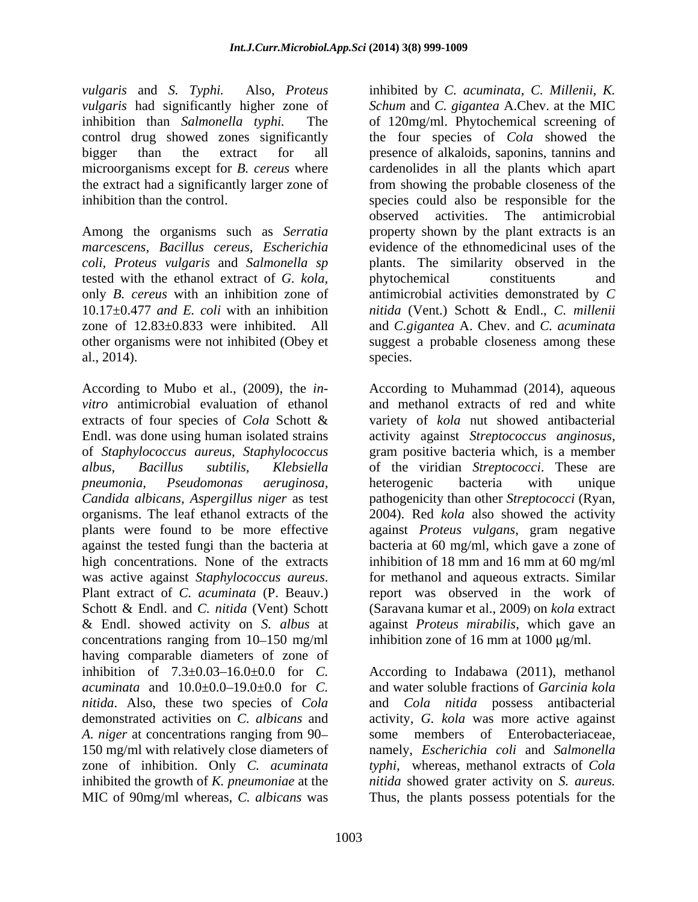*vulgaris* and *S. Typhi.* Also, *Proteus*  inhibited by *C. acuminata, C. Millenii, K.*  microorganisms except for *B. cereus* where

Among the organisms such as *Serratia*  tested with the ethanol extract of *G. kola,* al., 2014).

Endl. was done using human isolated strains activity against Streptococcus anginosus, of *Staphylococcus aureus, Staphylococcus* high concentrations. None of the extracts & Endl. showed activity on *S. albus* at concentrations ranging from  $10-150$  mg/ml inhibition zone of 16 mm at 1000  $\mu$ g/ml. having comparable diameters of zone of *nitida*. Also, these two species of *Cola* 150 mg/ml with relatively close diameters of MIC of 90mg/ml whereas, *C. albicans* was Thus, the plants possess potentials for the

*vulgaris* had significantly higher zone of *Schum* and *C. gigantea* A.Chev. at the MIC inhibition than *Salmonella typhi.* The of 120mg/ml. Phytochemical screening of control drug showed zones significantly the four species of *Cola* showed the bigger than the extract for all presence of alkaloids, saponins, tannins and the extract had a significantly larger zone of from showing the probable closeness of the inhibition than the control. species could also be responsible for the *marcescens, Bacillus cereus, Escherichia* evidence of the ethnomedicinal uses of the *coli, Proteus vulgaris* and *Salmonella sp* plants. The similarity observed in the only *B. cereus* with an inhibition zone of antimicrobial activities demonstrated by *C* 10.17±0.477 *and E. coli* with an inhibition *nitida* (Vent.) Schott & Endl., *C. millenii* zone of 12.83±0.833 were inhibited. All and *C.gigantea* A. Chev. and *C. acuminata* other organisms were not inhibited (Obey et suggest a probable closeness among these cardenolides in all the plants which apart observed activities. The antimicrobial property shown by the plant extracts is an phytochemical constituents and species.

According to Mubo et al., (2009), the *in-* According to Muhammad (2014), aqueous *vitro* antimicrobial evaluation of ethanol and methanol extracts of red and white extracts of four species of *Cola* Schott & variety of *kola* nut showed antibacterial *albus, Bacillus subtilis, Klebsiella* of the viridian *Streptococci*. These are *pneumonia, Pseudomonas aeruginosa, Candida albicans, Aspergillus niger* as test pathogenicity than other *Streptococci* (Ryan, organisms. The leaf ethanol extracts of the 2004). Red *kola* also showed the activity plants were found to be more effective against *Proteus vulgans*, gram negative against the tested fungi than the bacteria at bacteria at 60 mg/ml, which gave a zone of was active against *Staphylococcus aureus*. Plant extract of *C. acuminata* (P. Beauv.) Schott & Endl. and *C. nitida* (Vent) Schott (Saravana kumar et al., 2009) on *kola* extract activity against *Streptococcusanginosus*, gram positive bacteria which, is <sup>a</sup> member heterogenic bacteria with unique inhibition of 18 mm and 16 mm at 60 mg/ml for methanol and aqueous extracts. Similar report was observed in the work of against *Proteus mirabilis*, which gave an

inhibition of  $7.3 \pm 0.03 - 16.0 \pm 0.0$  for *C*. According to Indabawa (2011), methanol *acuminata* and 10.0±0.0 19.0±0.0 for *C.* and water soluble fractions of *Garcinia kola* demonstrated activities on *C. albicans* and activity, *G. kola* was more active against A. *niger* at concentrations ranging from 90- some members of Enterobacteriaceae, zone of inhibition. Only *C. acuminata typhi,* whereas, methanol extracts of *Cola*  inhibited the growth of *K. pneumoniae* at the *nitida* showed grater activity on *S. aureus.* and *Cola nitida* possess antibacterial some members of Enterobacteriaceae, namely, *Escherichia coli* and *Salmonella*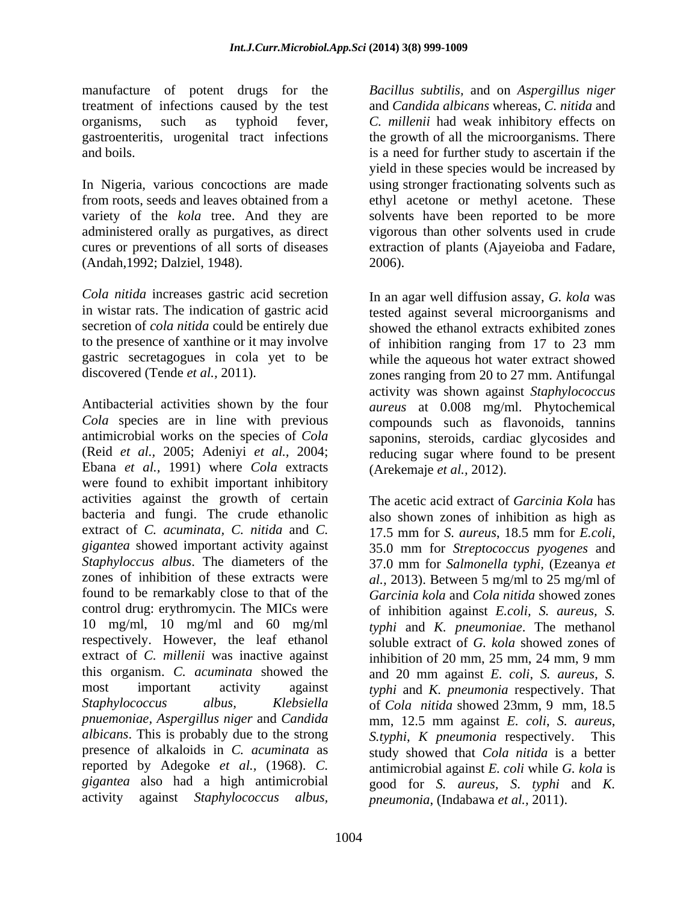manufacture of potent drugs for the treatment of infections caused by the test gastroenteritis, urogenital tract infections

variety of the *kola* tree. And they are administered orally as purgatives, as direct (Andah,1992; Dalziel, 1948).

*Cola nitida* increases gastric acid secretion

Antibacterial activities shown by the four *aureus* at 0.008 mg/ml. Phytochemical *Cola* species are in line with previous compounds such as flavonoids, tannins antimicrobial works on the species of *Cola* saponins, steroids, cardiac glycosides and (Reid *et al.,* 2005; Adeniyi *et al.,* 2004; reducing sugar where found to be present Ebana *et al.,* 1991) where *Cola* extracts were found to exhibit important inhibitory activities against the growth of certain The acetic acid extract of *Garcinia Kola* has bacteria and fungi. The crude ethanolic extract of *C. acuminata, C. nitida* and *C. gigantea* showed important activity against *Staphyloccus albus*. The diameters of the 37.0 mm for *Salmonella typhi,* (Ezeanya *et*  zones of inhibition of these extracts were *al.,* 2013). Between 5 mg/ml to 25 mg/ml of found to be remarkably close to that of the *Garcinia kola* and *Cola nitida* showed zones control drug: erythromycin. The MICs were 10 mg/ml, 10 mg/ml and 60 mg/ml *typhi* and *K. pneumoniae*. The methanol respectively. However, the leaf ethanol soluble extract of *G. kola* showed zones of extract of *C. millenii* was inactive against inhibition of 20 mm, 25 mm, 24 mm, 9 mm this organism. *C. acuminata* showed the most important activity against *typhi* and *K. pneumonia* respectively. That *Staphylococcus albus, Klebsiella* of *Cola nitida* showed 23mm, 9 mm, 18.5 *pnuemoniae, Aspergillus niger* and *Candida* mm, 12.5 mm against *E. coli*, *S. aureus*, *albicans*. This is probably due to the strong *S.typhi*, *K pneumonia* respectively. This presence of alkaloids in *C. acuminata* as study showed that *Cola nitida* is a better reported by Adegoke *et al.,* (1968). *C.* antimicrobial against *E. coli* while *G. kola* is *gigantea* also had a high antimicrobial good for *S. aureus, S*. *typhi* and *K.* 

organisms, such as typhoid fever, *C. millenii* had weak inhibitory effects on and boils. is a need for further study to ascertain if the In Nigeria, various concoctions are made using stronger fractionating solvents such as from roots, seeds and leaves obtained from a ethyl acetone or methyl acetone. These cures or preventions of all sorts of diseases extraction of plants (Ajayeioba and Fadare, *Bacillus subtilis,* and on *Aspergillus niger* and *Candida albicans* whereas, *C. nitida* and the growth of all the microorganisms. There yield in these species would be increased by solvents have been reported to be more vigorous than other solvents used in crude 2006).

in wistar rats. The indication of gastric acid tested against several microorganisms and secretion of *cola nitida* could be entirely due showed the ethanol extracts exhibited zones to the presence of xanthine or it may involve of inhibition ranging from 17 to 23 mm gastric secretagogues in cola yet to be while the aqueous hot water extract showed discovered (Tende *et al.,* 2011). zones ranging from 20 to 27 mm. Antifungal In an agar well diffusion assay, *G. kola* was activity was shown against *Staphylococcus* (Arekemaje *et al.,* 2012).

activity against *Staphylococcus albus, pneumonia*, (Indabawa *et al.,* 2011).also shown zones of inhibition as high as 17.5 mm for *S. aureus*, 18.5 mm for *E.coli*, 35.0 mm for *Streptococcus pyogenes* and of inhibition against *E.coli, S. aureus, S.* and 20 mm against *E. coli*, *S. aureus*, *S.*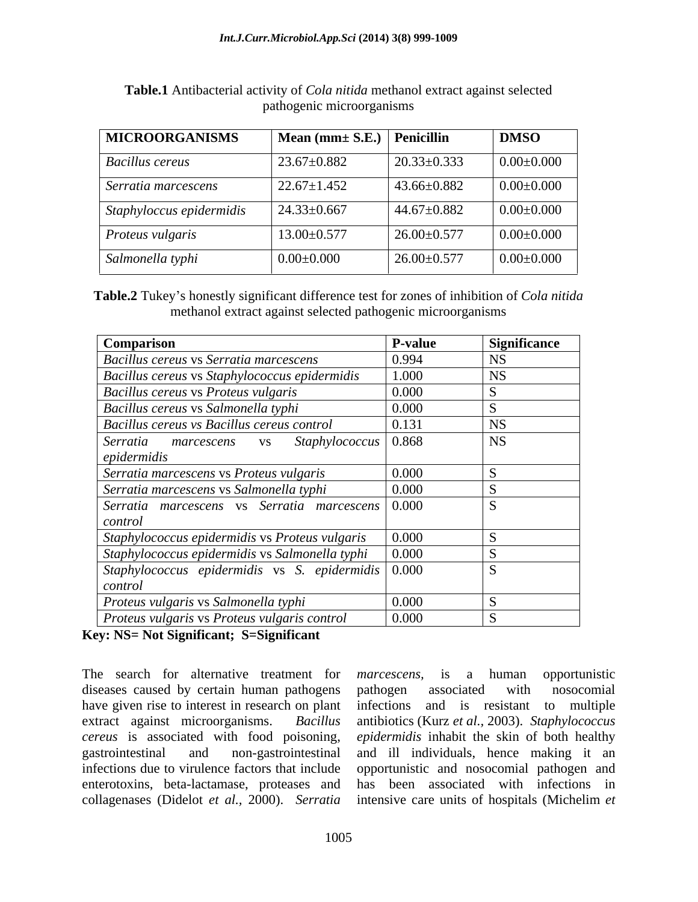| <b>MICROORGANISMS</b>            | $\vert$ Mean (mm $\pm$ S.E.) $\vert$ Penicillin |                   | <b>DMSO</b>      |
|----------------------------------|-------------------------------------------------|-------------------|------------------|
| <b>Bacillus cereus</b>           | $23.67 \pm 0.882$                               | $20.33 \pm 0.333$ | $0.00 \pm 0.000$ |
| Serratia marcescens              | $22.67 \pm 1.452$                               | $43.66 \pm 0.882$ | $0.00 \pm 0.000$ |
| $\vert$ Staphyloccus epidermidis | $24.33 \pm 0.667$                               | $44.67 \pm 0.882$ | $0.00 \pm 0.000$ |
| $\mid$ Proteus vulgaris          | $13.00 \pm 0.577$                               | $26.00 \pm 0.577$ | $0.00 \pm 0.000$ |
| Salmonella typhi                 | $0.00 \pm 0.000$                                | $26.00 \pm 0.577$ | $0.00 \pm 0.000$ |

**Table.1** Antibacterial activity of *Cola nitida* methanol extract against selected pathogenic microorganisms

Table.2 Tukey's honestly significant difference test for zones of inhibition of *Cola nitida* methanol extract against selected pathogenic microorganisms

| Comparison                                                           | <b>P-value</b> | <b>Significance</b> |
|----------------------------------------------------------------------|----------------|---------------------|
| Bacillus cereus vs Serratia marcescens                               | 0.994          |                     |
| Bacillus cereus vs Staphylococcus epidermidis                        | 1.000          | <b>NS</b>           |
| Bacillus cereus vs Proteus vulgaris                                  | 0.000          |                     |
| Bacillus cereus vs Salmonella typhi                                  | 0.000          |                     |
| Bacillus cereus vs Bacillus cereus control                           | 0.131          | <b>NS</b>           |
| $Staphylococcus \mid 0.868$<br>Serratia marcescens vs<br>epidermidis |                | <b>NS</b>           |
| Serratia marcescens vs Proteus vulgaris                              | 0.000          |                     |
| Serratia marcescens vs Salmonella typhi                              | 0.000          |                     |
| Serratia marcescens vs Serratia marcescens 0.000<br>control          |                |                     |
| Staphylococcus epidermidis vs Proteus vulgaris                       | 0.000          |                     |
| Staphylococcus epidermidis vs Salmonella typhi                       | 0.000          |                     |
| Staphylococcus epidermidis vs S. epidermidis   0.000<br>control      |                |                     |
| Proteus vulgaris vs Salmonella typhi                                 | 0.000          |                     |
| Proteus vulgaris vs Proteus vulgaris control                         | 0.000          |                     |

**Key: NS= Not Significant; S=Significant**

The search for alternative treatment for *marcescens*, is a human opportunistic diseases caused by certain human pathogens pathogen associated with nosocomial have given rise to interest in research on plant infections collagenases (Didelot *et al.,* 2000).*Serratia* 

extract against microorganisms. *Bacillus*  antibiotics (Kurz *et al.,* 2003). *Staphylococcus cereus* is associated with food poisoning, *epidermidis* inhabit the skin of both healthy gastrointestinal and non-gastrointestinal and ill individuals, hence making it an infections due to virulence factors that include opportunistic and nosocomial pathogen and enterotoxins, beta-lactamase, proteases and has been associated with infections in *marcescens,* is a human opportunistic pathogen associated with nosocomial and is resistant to multiple intensive care units of hospitals (Michelim *et*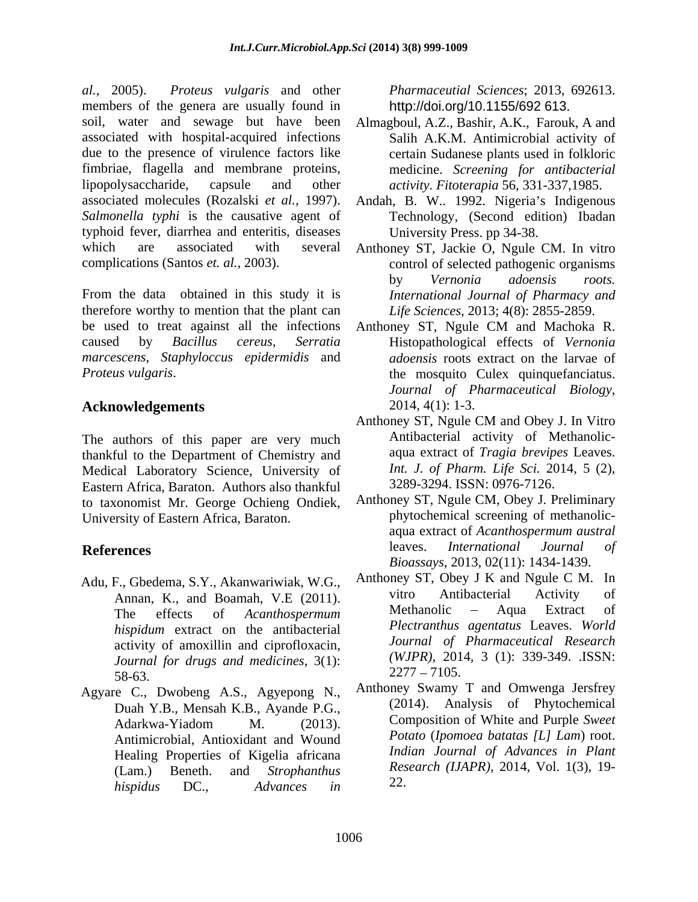al., 2005). Proteus vulgaris and other Pharmaceutial Sciences; 2013, 692613. members of the genera are usually found in soil, water and sewage but have been Almagboul, A.Z., Bashir, A.K., Farouk, A and associated with hospital-acquired infections due to the presence of virulence factors like fimbriae, flagella and membrane proteins, lipopolysaccharide, capsule and other *activity. Fitoterapia* 56, 331-337,1985. associated molecules (Rozalski *et al.*, 1997). Andah, B. W.. 1992. Nigeria's Indigenous *Salmonella typhi* is the causative agent of typhoid fever, diarrhea and enteritis, diseases which are associated with several Anthoney ST, Jackie O, Ngule CM. In vitro

From the data obtained in this study it is therefore worthy to mention that the plant can be used to treat against all the infections Anthoney ST, Ngule CM and Machoka R. caused by *Bacillus cereus*, *Serratia*  Histopathological effects of *Vernonia marcescens*, *Staphyloccus epidermidis* and *Proteus vulgaris*.

The authors of this paper are very much thankful to the Department of Chemistry and Medical Laboratory Science, University of Eastern Africa, Baraton. Authors also thankful to taxonomist Mr. George Ochieng Ondiek, University of Eastern Africa, Baraton.

- Adu, F., Gbedema, S.Y., Akanwariwiak, W.G., Anthoney ST, Obey J K and Ngule C M. In<br>Annan K and Boamah V E (2011) vitro Antibacterial Activity of *hispidum* extract on the antibacterial activity of amoxillin and ciprofloxacin, *Journal for drugs and medicines*, 3(1):  $\frac{2211 - 1105}{2}$
- Agyare C., Dwobeng A.S., Agyepong N., Duah Y.B., Mensah K.B., Ayande P.G., Antimicrobial, Antioxidant and Wound Healing Properties of Kigelia africana *hispidus* DC., *Advances in*

http://doi.org/10.1155/692 613.

- Salih A.K.M. Antimicrobial activity of certain Sudanese plants used in folkloric medicine. *Screening for antibacterial*
- Technology, (Second edition) Ibadan University Press. pp 34-38.
- complications (Santos *et. al.,* 2003). control of selected pathogenic organisms by *Vernonia adoensis roots. International Journal of Pharmacy and Life Sciences*, 2013; 4(8): 2855-2859.
	- *adoensis* roots extract on the larvae of the mosquito Culex quinquefanciatus. *Journal of Pharmaceutical Biology,*
- **Acknowledgements** 2014, 4(1): 1-3.<br>Anthoney ST, Ngule CM and Obey J. In Vitro Anthoney ST, Ngule CM and Obey J. In Vitro Antibacterial activity of Methanolic aqua extract of *Tragia brevipes* Leaves. *Int. J. of Pharm. Life Sci.* 2014, 5 (2), 3289-3294. ISSN: 0976-7126.
- **References References** *References References References References References References References References References References References References References* Anthoney ST, Ngule CM, Obey J. Preliminary phytochemical screening of methanolic aqua extract of *Acanthospermum austral* leaves. *International Journal of Bioassays*, 2013, 02(11): 1434-1439.
	- Annan, K., and Boamah, V.E (2011). Vitro Antibacterial Activity of<br>The effects of *Aggribonaryoum* Methanolic Aqua Extract of The effects of *Acanthospermum*  Anthoney ST, Obey J K and Ngule C M. In vitro Antibacterial Activity of Methanolic – Aqua Extract of *Plectranthus agentatus* Leaves. *World Journal of Pharmaceutical Research (WJPR)*, 2014, 3 (1): 339-349. .ISSN:  $2277 - 7105.$
	- Adarkwa-Yiadom M. (2013). Composition of white and Purple Sweet (Lam.) Beneth. and *Strophanthus*  Anthoney Swamy T and Omwenga Jersfrey (2014). Analysis of Phytochemical Composition of White and Purple *Sweet Potato* (*Ipomoea batatas [L] Lam*) root. *Indian Journal of Advances in Plant Research (IJAPR),* 2014, Vol. 1(3), 19- 22.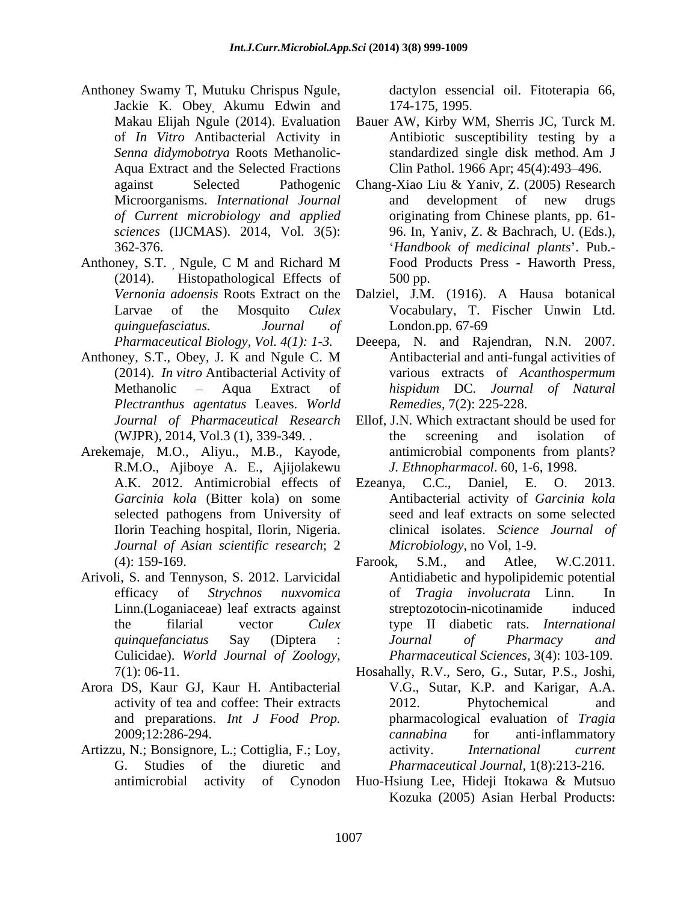- Anthoney Swamy T, Mutuku Chrispus Ngule, Jackie K. Obey, Akumu Edwin and<br>Makau Elijah Ngule (2014). Evaluation *of Current microbiology and applied*
- (2014). Histopathological Effects of *quinguefasciatus. Journal of*
- *Plectranthus agentatus* Leaves. *World*
- R.M.O., Ajiboye A. E., Ajijolakewu *Journal of Asian scientific research*; 2
- Arivoli, S. and Tennyson, S. 2012. Larvicidal Culicidae). *World Journal of Zoology*, 7(1): 06-11.
- Arora DS, Kaur GJ, Kaur H. Antibacterial
- Artizzu, N.; Bonsignore, L.; Cottiglia, F.; Loy, activity. *International current* G. Studies of the diuretic and *Pharmaceutical Journal,* 1(8):213-216.

dactylon essencial oil. Fitoterapia 66, 174-175, 1995.

- Makau Elijah Ngule (2014). Evaluation Bauer AW, Kirby WM, Sherris JC, Turck M. of *In Vitro* Antibacterial Activity in Antibiotic susceptibility testing by a *Senna didymobotrya* Roots Methanolic- Aqua Extract and the Selected Fractions Clin Pathol. 1966 Apr; 45(4):493–496. standardized single disk method. Am J
- against Selected Pathogenic Chang-Xiao Liu & Yaniv, Z. (2005) Research Microorganisms. *International Journal sciences* (IJCMAS). 2014, Vol. 3(5): 96. In, Yaniv, Z. & Bachrach, U. (Eds.), 362-376. *Handbook of medicinal plants* . Pub.- Anthoney, S.T., Ngule, C M and Richard M Food Products Press - Haworth Press, and development of new drugs originating from Chinese plants, pp. 61- Food Products Press - Haworth Press, 500 pp.
	- *Vernonia adoensis* Roots Extract on the Dalziel, J.M. (1916). A Hausa botanical Larvae of the Mosquito *Culex*  Vocabulary, T. Fischer Unwin Ltd. London.pp. 67-69
- *Pharmaceutical Biology, Vol. 4(1): 1-3.*  Deeepa, N. and Rajendran, N.N. 2007. Anthoney, S.T., Obey, J. K and Ngule C. M Antibacterial and anti-fungal activities of (2014). *In vitro* Antibacterial Activity of various extracts of *Acanthospermum*  Methanolic Aqua Extract of *hispidum* DC. *Journal of Natural* Antibacterial and anti-fungal activities of *Remedies,* 7(2): 225-228.
- *Journal of Pharmaceutical Research* Ellof, J.N. Which extractant should be used for (WJPR), 2014, Vol.3 (1), 339-349. . Arekemaje, M.O., Aliyu., M.B., Kayode, the screening and isolation of antimicrobial components from plants? *J. Ethnopharmacol*. 60, 1-6, 1998.
	- A.K. 2012. Antimicrobial effects of Ezeanya, C.C., Daniel, E. O. 2013. *Garcinia kola* (Bitter kola) on some Antibacterial activity of *Garcinia kola* selected pathogens from University of seed and leaf extracts on some selected Ilorin Teaching hospital, Ilorin, Nigeria. clinical isolates. *Science Journal of* Ezeanya, C.C., Daniel, E. O. 2013. *Microbiology*, no Vol, 1-9.
	- (4): 159-169. efficacy of *Strychnos nuxvomica* of *Tragia involucrata* Linn. In Linn.(Loganiaceae) leaf extracts against the filarial vector *Culex*  type II diabetic rats. *International quinquefanciatus* Say (Diptera : Farook, S.M., and Atlee, W.C.2011. Antidiabetic and hypolipidemic potential streptozotocin-nicotinamide induced *Journal of Pharmacy and Pharmaceutical Sciences,* 3(4): 103-109.
	- activity of tea and coffee: Their extracts 2012. Phytochemical and and preparations. *Int J Food Prop.* pharmacological evaluation of *Tragia*  2009;12:286-294. cannabina for anti-inflammatory Hosahally, R.V., Sero, G., Sutar, P.S., Joshi, V.G., Sutar, K.P. and Karigar, A.A. 2012. Phytochemical and *cannabina* for anti-inflammatory activity. *International current*
	- antimicrobial activity of Cynodon Huo-Hsiung Lee, Hideji Itokawa & Mutsuo Kozuka (2005) Asian Herbal Products: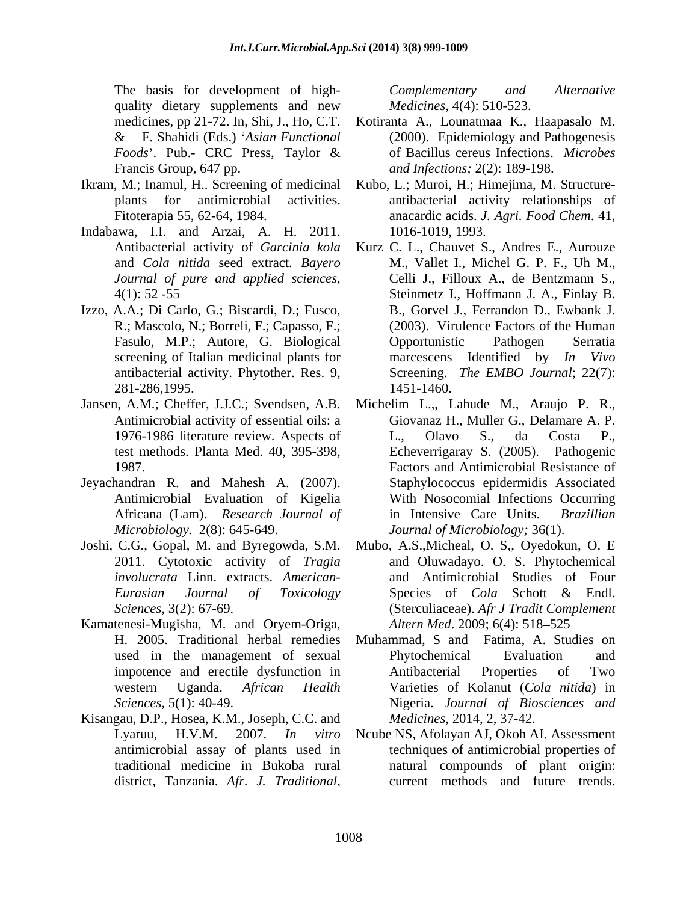quality dietary supplements and new *Medicines*, 4(4): 510-523.

- Ikram, M.; Inamul, H.. Screening of medicinal
- Indabawa, I.I. and Arzai, A. H. 2011.
- Izzo, A.A.; Di Carlo, G.; Biscardi, D.; Fusco, screening of Italian medicinal plants for 281-286,1995.
- 
- Jeyachandran R. and Mahesh A. (2007). Antimicrobial Evaluation of Kigelia
- 2011. Cytotoxic activity of *Tragia*
- Kamatenesi-Mugisha, M. and Oryem-Origa,
- Kisangau, D.P., Hosea, K.M., Joseph, C.C. and

The basis for development of high-<br>Complementary and Alternative *Medicines,* 4(4): 510-523.

- medicines, pp 21-72. In, Shi, J., Ho, C.T. Kotiranta A., Lounatmaa K., Haapasalo M. & F. Shahidi (Eds.) *Asian Functional* (2000). Epidemiology and Pathogenesis Foods'. Pub.- CRC Press, Taylor & of Bacillus cereus Infections. *Microbes* Francis Group, 647 pp. *and Infections;* 2(2): 189-198. of Bacillus cereus Infections. *Microbes*
- plants for antimicrobial activities. antibacterial activity relationships of Fitoterapia 55, 62-64, 1984. anacardic acids. *J. Agri. Food Chem*. 41, Kubo, L.; Muroi, H.; Himejima, M. Structure-1016-1019, 1993.
- Antibacterial activity of *Garcinia kola* Kurz C. L., Chauvet S., Andres E., Aurouze and *Cola nitida* seed extract. *Bayero*  M., Vallet I., Michel G. P. F., Uh M., *Journal of pure and applied sciences*, Celli J., Filloux A., de Bentzmann S., 4(1): 52 -55 Steinmetz I., Hoffmann J. A., Finlay B. R.; Mascolo, N.; Borreli, F.; Capasso, F.; (2003). Virulence Factors of the Human Fasulo, M.P.; Autore, G. Biological antibacterial activity. Phytother. Res. 9, Screening. *The EMBO Journal*; 22(7): The basis for developmentario Thigh-<br> *Afr. Afternative*<br>
mentiones and new Motiones Afternative and M. Londan K. Limitarisa<br>
mentiones and  $\lambda$ , Complementary<br> *Afternative Afternative A. Complementary*<br> *A. R. F. Shah* Celli J., Filloux A., de Bentzmann S., Steinmetz I., Hoffmann J. A., Finlay B. B., Gorvel J., Ferrandon D., Ewbank J. Opportunistic Pathogen Serratia marcescens Identified by *In Vivo* 1451-1460.
- Jansen, A.M.; Cheffer, J.J.C.; Svendsen, A.B. Michelim L.,, Lahude M., Araujo P. R., Antimicrobial activity of essential oils: a Giovanaz H., Muller G., Delamare A. P. 1976-1986 literature review. Aspects of L., Olavo S., da Costa P., test methods. Planta Med. 40, 395-398, Echeverrigaray S. (2005). Pathogenic 1987. Factors and Antimicrobial Resistance of Africana (Lam). *Research Journal of Microbiology.* 2(8): 645-649. *Journal of Microbiology;* 36(1). L., Olavo S., da Costa P., Staphylococcus epidermidis Associated With Nosocomial Infections Occurring in Intensive Care Units.
- Joshi, C.G., Gopal, M. and Byregowda, S.M. Mubo, A.S.,Micheal, O. S,, Oyedokun, O. E *involucrata* Linn. extracts. *American-* and Antimicrobial Studies of Four *Eurasian Journal of Toxicology Sciences,* 3(2): 67-69. (Sterculiaceae). *Afr J Tradit Complement*  and Oluwadayo. O. S. Phytochemical Species of *Cola* Schott & Endl. *Altern Med.* 2009; 6(4): 518–525
	- H. 2005. Traditional herbal remedies Muhammad, S and Fatima, A. Studies on used in the management of sexual Phytochemical Evaluation and impotence and erectile dysfunction in western Uganda. *African Health* Varieties of Kolanut (*Cola nitida*) in *Sciences,* 5(1): 40-49. Nigeria. *Journal of Biosciences and* Phytochemical Evaluation and Antibacterial Properties of Two *Medicines,* 2014, 2, 37-42.
	- Lyaruu, H.V.M. 2007. *In vitro* Ncube NS, Afolayan AJ, Okoh AI. Assessment antimicrobial assay of plants used in techniques of antimicrobial properties of traditional medicine in Bukoba rural natural compounds of plant origin: current methods and future trends.